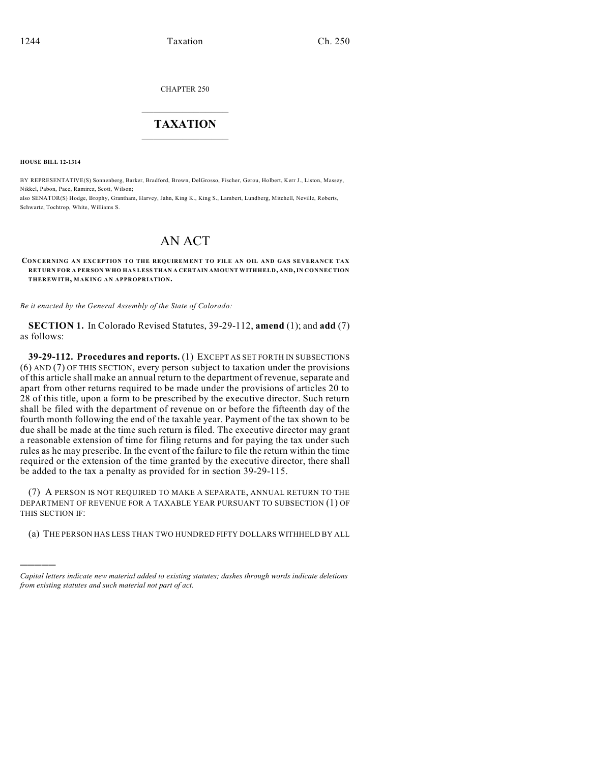CHAPTER 250

## $\mathcal{L}_\text{max}$  . The set of the set of the set of the set of the set of the set of the set of the set of the set of the set of the set of the set of the set of the set of the set of the set of the set of the set of the set **TAXATION**  $\_$

**HOUSE BILL 12-1314**

)))))

BY REPRESENTATIVE(S) Sonnenberg, Barker, Bradford, Brown, DelGrosso, Fischer, Gerou, Holbert, Kerr J., Liston, Massey, Nikkel, Pabon, Pace, Ramirez, Scott, Wilson;

also SENATOR(S) Hodge, Brophy, Grantham, Harvey, Jahn, King K., King S., Lambert, Lundberg, Mitchell, Neville, Roberts, Schwartz, Tochtrop, White, Williams S.

## AN ACT

## **CONCERNING AN EXCEPTION TO THE REQUIREMENT TO FILE AN OIL AND GAS SEVERANCE TAX RETURN FOR A PERSON WHO HAS LESS THAN A CERTAIN AMOUNT WITHHELD, AND,IN CONNECTION THEREWITH, MAKING AN APPROPRIATION.**

*Be it enacted by the General Assembly of the State of Colorado:*

**SECTION 1.** In Colorado Revised Statutes, 39-29-112, **amend** (1); and **add** (7) as follows:

**39-29-112. Procedures and reports.** (1) EXCEPT AS SET FORTH IN SUBSECTIONS (6) AND (7) OF THIS SECTION, every person subject to taxation under the provisions of this article shall make an annual return to the department of revenue, separate and apart from other returns required to be made under the provisions of articles 20 to 28 of this title, upon a form to be prescribed by the executive director. Such return shall be filed with the department of revenue on or before the fifteenth day of the fourth month following the end of the taxable year. Payment of the tax shown to be due shall be made at the time such return is filed. The executive director may grant a reasonable extension of time for filing returns and for paying the tax under such rules as he may prescribe. In the event of the failure to file the return within the time required or the extension of the time granted by the executive director, there shall be added to the tax a penalty as provided for in section 39-29-115.

(7) A PERSON IS NOT REQUIRED TO MAKE A SEPARATE, ANNUAL RETURN TO THE DEPARTMENT OF REVENUE FOR A TAXABLE YEAR PURSUANT TO SUBSECTION (1) OF THIS SECTION IF:

(a) THE PERSON HAS LESS THAN TWO HUNDRED FIFTY DOLLARS WITHHELD BY ALL

*Capital letters indicate new material added to existing statutes; dashes through words indicate deletions from existing statutes and such material not part of act.*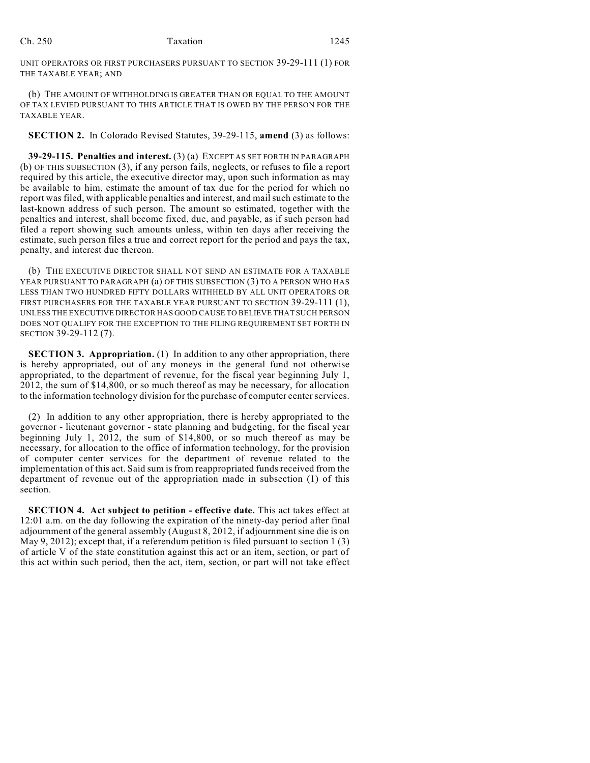UNIT OPERATORS OR FIRST PURCHASERS PURSUANT TO SECTION 39-29-111 (1) FOR THE TAXABLE YEAR; AND

(b) THE AMOUNT OF WITHHOLDING IS GREATER THAN OR EQUAL TO THE AMOUNT OF TAX LEVIED PURSUANT TO THIS ARTICLE THAT IS OWED BY THE PERSON FOR THE TAXABLE YEAR.

**SECTION 2.** In Colorado Revised Statutes, 39-29-115, **amend** (3) as follows:

**39-29-115. Penalties and interest.** (3) (a) EXCEPT AS SET FORTH IN PARAGRAPH (b) OF THIS SUBSECTION (3), if any person fails, neglects, or refuses to file a report required by this article, the executive director may, upon such information as may be available to him, estimate the amount of tax due for the period for which no report was filed, with applicable penalties and interest, and mailsuch estimate to the last-known address of such person. The amount so estimated, together with the penalties and interest, shall become fixed, due, and payable, as if such person had filed a report showing such amounts unless, within ten days after receiving the estimate, such person files a true and correct report for the period and pays the tax, penalty, and interest due thereon.

(b) THE EXECUTIVE DIRECTOR SHALL NOT SEND AN ESTIMATE FOR A TAXABLE YEAR PURSUANT TO PARAGRAPH (a) OF THIS SUBSECTION (3) TO A PERSON WHO HAS LESS THAN TWO HUNDRED FIFTY DOLLARS WITHHELD BY ALL UNIT OPERATORS OR FIRST PURCHASERS FOR THE TAXABLE YEAR PURSUANT TO SECTION 39-29-111 (1), UNLESS THE EXECUTIVE DIRECTOR HAS GOOD CAUSE TO BELIEVE THAT SUCH PERSON DOES NOT QUALIFY FOR THE EXCEPTION TO THE FILING REQUIREMENT SET FORTH IN SECTION 39-29-112 (7).

**SECTION 3. Appropriation.** (1) In addition to any other appropriation, there is hereby appropriated, out of any moneys in the general fund not otherwise appropriated, to the department of revenue, for the fiscal year beginning July 1, 2012, the sum of \$14,800, or so much thereof as may be necessary, for allocation to the information technology division for the purchase of computer center services.

(2) In addition to any other appropriation, there is hereby appropriated to the governor - lieutenant governor - state planning and budgeting, for the fiscal year beginning July 1, 2012, the sum of \$14,800, or so much thereof as may be necessary, for allocation to the office of information technology, for the provision of computer center services for the department of revenue related to the implementation of this act. Said sum is from reappropriated funds received from the department of revenue out of the appropriation made in subsection (1) of this section.

**SECTION 4. Act subject to petition - effective date.** This act takes effect at 12:01 a.m. on the day following the expiration of the ninety-day period after final adjournment of the general assembly (August 8, 2012, if adjournment sine die is on May 9, 2012); except that, if a referendum petition is filed pursuant to section 1  $(3)$ of article V of the state constitution against this act or an item, section, or part of this act within such period, then the act, item, section, or part will not take effect